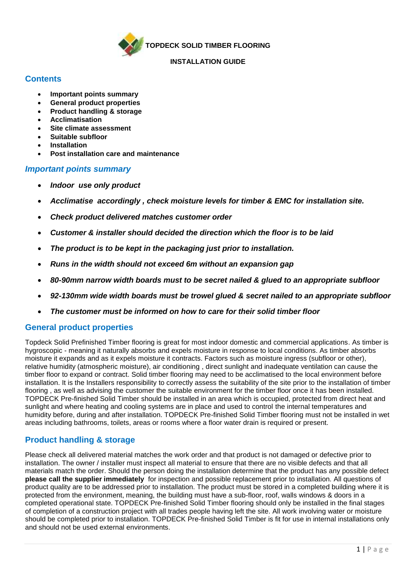

**TOPDECK SOLID TIMBER FLOORING** 

#### **INSTALLATION GUIDE**

### **Contents**

- **Important points summary**
- **General product properties**
- **Product handling & storage**
- **Acclimatisation**
- **Site climate assessment**
- **Suitable subfloor**
- **Installation**
- **Post installation care and maintenance**

### *Important points summary*

- *Indoor use only product*
- *Acclimatise accordingly , check moisture levels for timber & EMC for installation site.*
- *Check product delivered matches customer order*
- *Customer & installer should decided the direction which the floor is to be laid*
- *The product is to be kept in the packaging just prior to installation.*
- *Runs in the width should not exceed 6m without an expansion gap*
- *80-90mm narrow width boards must to be secret nailed & glued to an appropriate subfloor*
- *92-130mm wide width boards must be trowel glued & secret nailed to an appropriate subfloor*
- *The customer must be informed on how to care for their solid timber floor*

### **General product properties**

Topdeck Solid Prefinished Timber flooring is great for most indoor domestic and commercial applications. As timber is hygroscopic - meaning it naturally absorbs and expels moisture in response to local conditions. As timber absorbs moisture it expands and as it expels moisture it contracts. Factors such as moisture ingress (subfloor or other), relative humidity (atmospheric moisture), air conditioning , direct sunlight and inadequate ventilation can cause the timber floor to expand or contract. Solid timber flooring may need to be acclimatised to the local environment before installation. It is the Installers responsibility to correctly assess the suitability of the site prior to the installation of timber flooring , as well as advising the customer the suitable environment for the timber floor once it has been installed. TOPDECK Pre-finished Solid Timber should be installed in an area which is occupied, protected from direct heat and sunlight and where heating and cooling systems are in place and used to control the internal temperatures and humidity before, during and after installation. TOPDECK Pre-finished Solid Timber flooring must not be installed in wet areas including bathrooms, toilets, areas or rooms where a floor water drain is required or present.

## **Product handling & storage**

Please check all delivered material matches the work order and that product is not damaged or defective prior to installation. The owner / installer must inspect all material to ensure that there are no visible defects and that all materials match the order. Should the person doing the installation determine that the product has any possible defect **please call the supplier immediately** for inspection and possible replacement prior to installation. All questions of product quality are to be addressed prior to installation. The product must be stored in a completed building where it is protected from the environment, meaning, the building must have a sub-floor, roof, walls windows & doors in a completed operational state. TOPDECK Pre-finished Solid Timber flooring should only be installed in the final stages of completion of a construction project with all trades people having left the site. All work involving water or moisture should be completed prior to installation. TOPDECK Pre-finished Solid Timber is fit for use in internal installations only and should not be used external environments.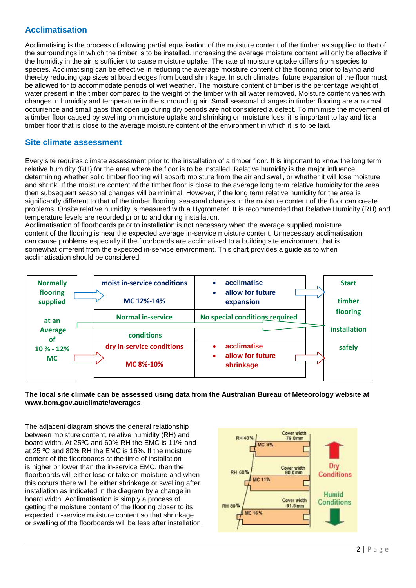# **Acclimatisation**

Acclimatising is the process of allowing partial equalisation of the moisture content of the timber as supplied to that of the surroundings in which the timber is to be installed. Increasing the average moisture content will only be effective if the humidity in the air is sufficient to cause moisture uptake. The rate of moisture uptake differs from species to species. Acclimatising can be effective in reducing the average moisture content of the flooring prior to laying and thereby reducing gap sizes at board edges from board shrinkage. In such climates, future expansion of the floor must be allowed for to accommodate periods of wet weather. The moisture content of timber is the percentage weight of water present in the timber compared to the weight of the timber with all water removed. Moisture content varies with changes in humidity and temperature in the surrounding air. Small seasonal changes in timber flooring are a normal occurrence and small gaps that open up during dry periods are not considered a defect. To minimise the movement of a timber floor caused by swelling on moisture uptake and shrinking on moisture loss, it is important to lay and fix a timber floor that is close to the average moisture content of the environment in which it is to be laid.

### **Site climate assessment**

Every site requires climate assessment prior to the installation of a timber floor. It is important to know the long term relative humidity (RH) for the area where the floor is to be installed. Relative humidity is the major influence determining whether solid timber flooring will absorb moisture from the air and swell, or whether it will lose moisture and shrink. If the moisture content of the timber floor is close to the average long term relative humidity for the area then subsequent seasonal changes will be minimal. However, if the long term relative humidity for the area is significantly different to that of the timber flooring, seasonal changes in the moisture content of the floor can create problems. Onsite relative humidity is measured with a Hygrometer. It is recommended that Relative Humidity (RH) and temperature levels are recorded prior to and during installation.

Acclimatisation of floorboards prior to installation is not necessary when the average supplied moisture content of the flooring is near the expected average in-service moisture content. Unnecessary acclimatisation can cause problems especially if the floorboards are acclimatised to a building site environment that is somewhat different from the expected in-service environment. This chart provides a guide as to when acclimatisation should be considered.



#### **The local site climate can be assessed using data from the Australian Bureau of Meteorology website at www.bom.gov.au/climate/averages**.

The adjacent diagram shows the general relationship between moisture content, relative humidity (RH) and board width. At 25ºC and 60% RH the EMC is 11% and at 25 ºC and 80% RH the EMC is 16%. If the moisture content of the floorboards at the time of installation is higher or lower than the in-service EMC, then the floorboards will either lose or take on moisture and when this occurs there will be either shrinkage or swelling after installation as indicated in the diagram by a change in board width. Acclimatisation is simply a process of getting the moisture content of the flooring closer to its expected in-service moisture content so that shrinkage or swelling of the floorboards will be less after installation.

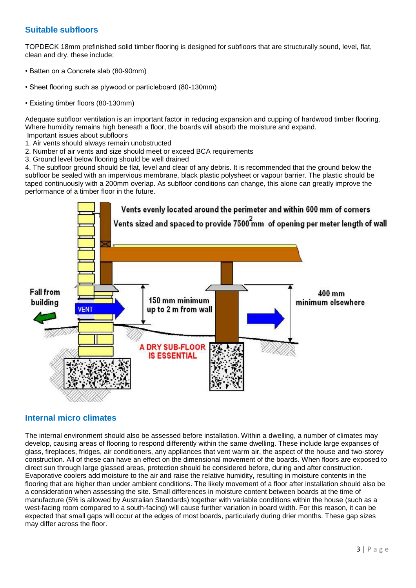### **Suitable subfloors**

TOPDECK 18mm prefinished solid timber flooring is designed for subfloors that are structurally sound, level, flat, clean and dry, these include;

- Batten on a Concrete slab (80-90mm)
- Sheet flooring such as plywood or particleboard (80-130mm)
- Existing timber floors (80-130mm)

Adequate subfloor ventilation is an important factor in reducing expansion and cupping of hardwood timber flooring. Where humidity remains high beneath a floor, the boards will absorb the moisture and expand. Important issues about subfloors

- 1. Air vents should always remain unobstructed
- 2. Number of air vents and size should meet or exceed BCA requirements
- 3. Ground level below flooring should be well drained

4. The subfloor ground should be flat, level and clear of any debris. It is recommended that the ground below the subfloor be sealed with an impervious membrane, black plastic polysheet or vapour barrier. The plastic should be taped continuously with a 200mm overlap. As subfloor conditions can change, this alone can greatly improve the performance of a timber floor in the future.



### **Internal micro climates**

The internal environment should also be assessed before installation. Within a dwelling, a number of climates may develop, causing areas of flooring to respond differently within the same dwelling. These include large expanses of glass, fireplaces, fridges, air conditioners, any appliances that vent warm air, the aspect of the house and two-storey construction. All of these can have an effect on the dimensional movement of the boards. When floors are exposed to direct sun through large glassed areas, protection should be considered before, during and after construction. Evaporative coolers add moisture to the air and raise the relative humidity, resulting in moisture contents in the flooring that are higher than under ambient conditions. The likely movement of a floor after installation should also be a consideration when assessing the site. Small differences in moisture content between boards at the time of manufacture (5% is allowed by Australian Standards) together with variable conditions within the house (such as a west-facing room compared to a south-facing) will cause further variation in board width. For this reason, it can be expected that small gaps will occur at the edges of most boards, particularly during drier months. These gap sizes may differ across the floor.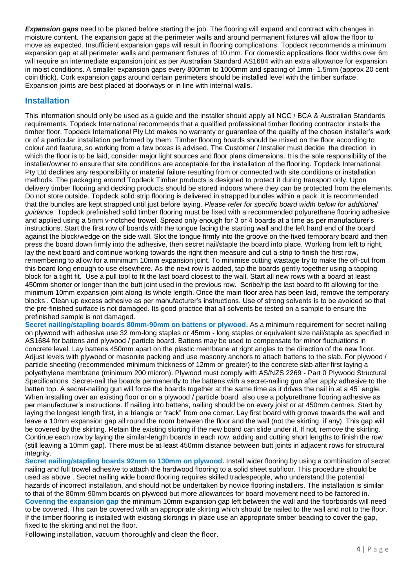*Expansion gaps* need to be planed before starting the job. The flooring will expand and contract with changes in moisture content. The expansion gaps at the perimeter walls and around permanent fixtures will allow the floor to move as expected. Insufficient expansion gaps will result in flooring complications. Topdeck recommends a minimum expansion gap at all perimeter walls and permanent fixtures of 10 mm. For domestic applications floor widths over 6m will require an intermediate expansion joint as per Australian Standard AS1684 with an extra allowance for expansion in moist conditions. A smaller expansion gaps every 800mm to 1000mm and spacing of 1mm- 1.5mm (approx 20 cent coin thick). Cork expansion gaps around certain perimeters should be installed level with the timber surface. Expansion joints are best placed at doorways or in line with internal walls.

### **Installation**

This information should only be used as a guide and the installer should apply all NCC / BCA & Australian Standards requirements. Topdeck International recommends that a qualified professional timber flooring contractor installs the timber floor. Topdeck International Pty Ltd makes no warranty or guarantee of the quality of the chosen installer's work or of a particular installation performed by them. Timber flooring boards should be mixed on the floor according to colour and feature, so working from a few boxes is advised. The Customer / Installer must decide the direction in which the floor is to be laid, consider major light sources and floor plans dimensions. It is the sole responsibility of the installer/owner to ensure that site conditions are acceptable for the installation of the flooring. Topdeck International Pty Ltd declines any responsibility or material failure resulting from or connected with site conditions or installation methods. The packaging around Topdeck Timber products is designed to protect it during transport only. Upon delivery timber flooring and decking products should be stored indoors where they can be protected from the elements. Do not store outside. Topdeck solid strip flooring is delivered in strapped bundles within a pack. It is recommended that the bundles are kept strapped until just before laying. *Please refer for specific board width below for additional guidance.* Topdeck prefinished solid timber flooring must be fixed with a recommended polyurethane flooring adhesive and applied using a 5mm v-notched trowel. Spread only enough for 3 or 4 boards at a time as per manufacturer's instructions. Start the first row of boards with the tongue facing the starting wall and the left hand end of the board against the block/wedge on the side wall. Slot the tongue firmly into the groove on the fixed temporary board and then press the board down firmly into the adhesive, then secret nail/staple the board into place. Working from left to right, lay the next board and continue working towards the right then measure and cut a strip to finish the first row, remembering to allow for a minimum 10mm expansion joint. To minimise cutting wastage try to make the off-cut from this board long enough to use elsewhere. As the next row is added, tap the boards gently together using a tapping block for a tight fit. Use a pull tool to fit the last board closest to the wall. Start all new rows with a board at least 450mm shorter or longer than the butt joint used in the previous row. Scribe/rip the last board to fit allowing for the minimum 10mm expansion joint along its whole length. Once the main floor area has been laid, remove the temporary blocks . Clean up excess adhesive as per manufacturer's instructions. Use of strong solvents is to be avoided so that the pre-finished surface is not damaged. Its good practice that all solvents be tested on a sample to ensure the prefinished sample is not damaged.

**Secret nailing/stapling boards 80mm-90mm on battens or plywood.** As a minimum requirement for secret nailing on plywood with adhesive use 32 mm-long staples or 45mm - long staples or equivalent size nail/staple as specified in AS1684 for battens and plywood / particle board. Battens may be used to compensate for minor fluctuations in concrete level. Lay battens 450mm apart on the plastic membrane at right angles to the direction of the new floor. Adjust levels with plywood or masonite packing and use masonry anchors to attach battens to the slab. For plywood / particle sheeting (recommended minimum thickness of 12mm or greater) to the concrete slab after first laying a polyethylene membrane (minimum 200 micron). Plywood must comply with AS/NZS 2269 - Part 0 Plywood Structural Specifications. Secret-nail the boards permanently to the battens with a secret-nailing gun after apply adhesive to the batten top. A secret-nailing gun will force the boards together at the same time as it drives the nail in at a 45˚ angle. When installing over an existing floor or on a plywood / particle board also use a polyurethane flooring adhesive as per manufacturer's instructions. If nailing into battens, nailing should be on every joist or at 450mm centres. Start by laying the longest length first, in a triangle or "rack" from one corner. Lay first board with groove towards the wall and leave a 10mm expansion gap all round the room between the floor and the wall (not the skirting, if any). This gap will be covered by the skirting. Retain the existing skirting if the new board can slide under it. If not, remove the skirting. Continue each row by laying the similar-length boards in each row, adding and cutting short lengths to finish the row (still leaving a 10mm gap). There must be at least 450mm distance between butt joints in adjacent rows for structural integrity.

**Secret nailing/stapling boards 92mm to 130mm on plywood.** Install wider flooring by using a combination of secret nailing and full trowel adhesive to attach the hardwood flooring to a solid sheet subfloor. This procedure should be used as above . Secret nailing wide board flooring requires skilled tradespeople, who understand the potential hazards of incorrect installation, and should not be undertaken by novice flooring installers. The installation is similar to that of the 80mm-90mm boards on plywood but more allowances for board movement need to be factored in. **Covering the expansion gap** the minimum 10mm expansion gap left between the wall and the floorboards will need to be covered. This can be covered with an appropriate skirting which should be nailed to the wall and not to the floor. If the timber flooring is installed with existing skirtings in place use an appropriate timber beading to cover the gap, fixed to the skirting and not the floor.

Following installation, vacuum thoroughly and clean the floor.